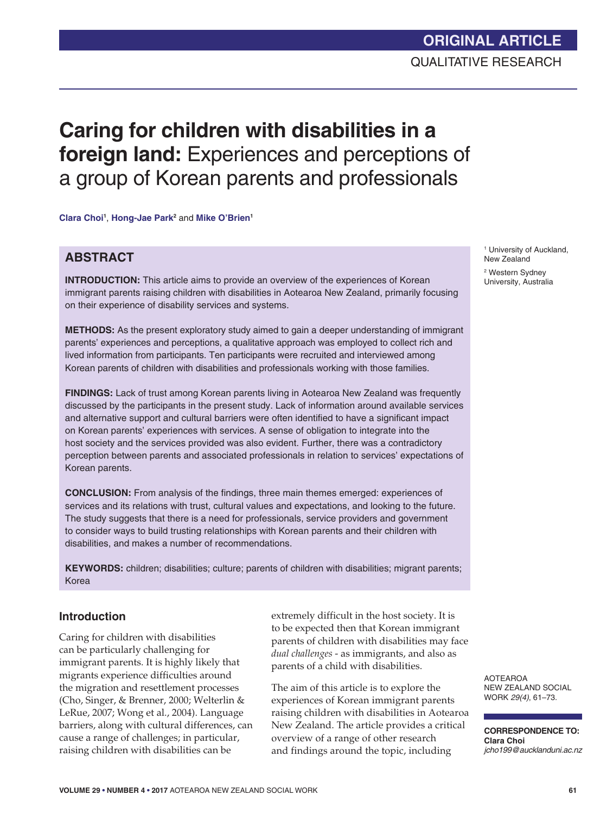# **Caring for children with disabilities in a foreign land:** Experiences and perceptions of a group of Korean parents and professionals

**Clara Choi1** , **Hong-Jae Park2** and **Mike O'Brien1**

### **ABSTRACT**

**INTRODUCTION:** This article aims to provide an overview of the experiences of Korean immigrant parents raising children with disabilities in Aotearoa New Zealand, primarily focusing on their experience of disability services and systems.

**METHODS:** As the present exploratory study aimed to gain a deeper understanding of immigrant parents' experiences and perceptions, a qualitative approach was employed to collect rich and lived information from participants. Ten participants were recruited and interviewed among Korean parents of children with disabilities and professionals working with those families.

**FINDINGS:** Lack of trust among Korean parents living in Aotearoa New Zealand was frequently discussed by the participants in the present study. Lack of information around available services and alternative support and cultural barriers were often identified to have a significant impact on Korean parents' experiences with services. A sense of obligation to integrate into the host society and the services provided was also evident. Further, there was a contradictory perception between parents and associated professionals in relation to services' expectations of Korean parents.

**CONCLUSION:** From analysis of the findings, three main themes emerged: experiences of services and its relations with trust, cultural values and expectations, and looking to the future. The study suggests that there is a need for professionals, service providers and government to consider ways to build trusting relationships with Korean parents and their children with disabilities, and makes a number of recommendations.

**KEYWORDS:** children; disabilities; culture; parents of children with disabilities; migrant parents; Korea

### **Introduction**

Caring for children with disabilities can be particularly challenging for immigrant parents. It is highly likely that migrants experience difficulties around the migration and resettlement processes (Cho, Singer, & Brenner, 2000; Welterlin & LeRue, 2007; Wong et al., 2004). Language barriers, along with cultural differences, can cause a range of challenges; in particular, raising children with disabilities can be

extremely difficult in the host society. It is to be expected then that Korean immigrant parents of children with disabilities may face *dual challenges* - as immigrants, and also as parents of a child with disabilities.

The aim of this article is to explore the experiences of Korean immigrant parents raising children with disabilities in Aotearoa New Zealand. The article provides a critical overview of a range of other research and findings around the topic, including

1 University of Auckland, New Zealand 2 Western Sydney University, Australia

AOTEAROA NEW ZEALAND SOCIAL WORK *29(4)*, 61–73.

**CORRESPONDENCE TO: Clara Choi** *jcho199@aucklanduni.ac.nz*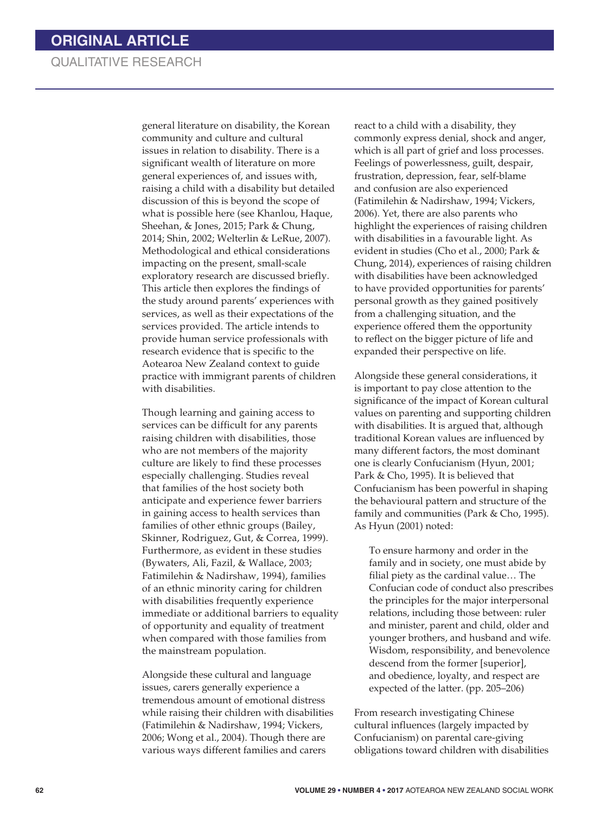general literature on disability, the Korean community and culture and cultural issues in relation to disability. There is a significant wealth of literature on more general experiences of, and issues with, raising a child with a disability but detailed discussion of this is beyond the scope of what is possible here (see Khanlou, Haque, Sheehan, & Jones, 2015; Park & Chung, 2014; Shin, 2002; Welterlin & LeRue, 2007). Methodological and ethical considerations impacting on the present, small-scale exploratory research are discussed briefly. This article then explores the findings of the study around parents' experiences with services, as well as their expectations of the services provided. The article intends to provide human service professionals with research evidence that is specific to the Aotearoa New Zealand context to guide practice with immigrant parents of children with disabilities.

Though learning and gaining access to services can be difficult for any parents raising children with disabilities, those who are not members of the majority culture are likely to find these processes especially challenging. Studies reveal that families of the host society both anticipate and experience fewer barriers in gaining access to health services than families of other ethnic groups (Bailey, Skinner, Rodriguez, Gut, & Correa, 1999). Furthermore, as evident in these studies (Bywaters, Ali, Fazil, & Wallace, 2003; Fatimilehin & Nadirshaw, 1994), families of an ethnic minority caring for children with disabilities frequently experience immediate or additional barriers to equality of opportunity and equality of treatment when compared with those families from the mainstream population.

Alongside these cultural and language issues, carers generally experience a tremendous amount of emotional distress while raising their children with disabilities (Fatimilehin & Nadirshaw, 1994; Vickers, 2006; Wong et al., 2004). Though there are various ways different families and carers

react to a child with a disability, they commonly express denial, shock and anger, which is all part of grief and loss processes. Feelings of powerlessness, guilt, despair, frustration, depression, fear, self-blame and confusion are also experienced (Fatimilehin & Nadirshaw, 1994; Vickers, 2006). Yet, there are also parents who highlight the experiences of raising children with disabilities in a favourable light. As evident in studies (Cho et al., 2000; Park & Chung, 2014), experiences of raising children with disabilities have been acknowledged to have provided opportunities for parents' personal growth as they gained positively from a challenging situation, and the experience offered them the opportunity to reflect on the bigger picture of life and expanded their perspective on life.

Alongside these general considerations, it is important to pay close attention to the significance of the impact of Korean cultural values on parenting and supporting children with disabilities. It is argued that, although traditional Korean values are influenced by many different factors, the most dominant one is clearly Confucianism (Hyun, 2001; Park & Cho, 1995). It is believed that Confucianism has been powerful in shaping the behavioural pattern and structure of the family and communities (Park & Cho, 1995). As Hyun (2001) noted:

To ensure harmony and order in the family and in society, one must abide by filial piety as the cardinal value… The Confucian code of conduct also prescribes the principles for the major interpersonal relations, including those between: ruler and minister, parent and child, older and younger brothers, and husband and wife. Wisdom, responsibility, and benevolence descend from the former [superior], and obedience, loyalty, and respect are expected of the latter. (pp. 205–206)

From research investigating Chinese cultural influences (largely impacted by Confucianism) on parental care-giving obligations toward children with disabilities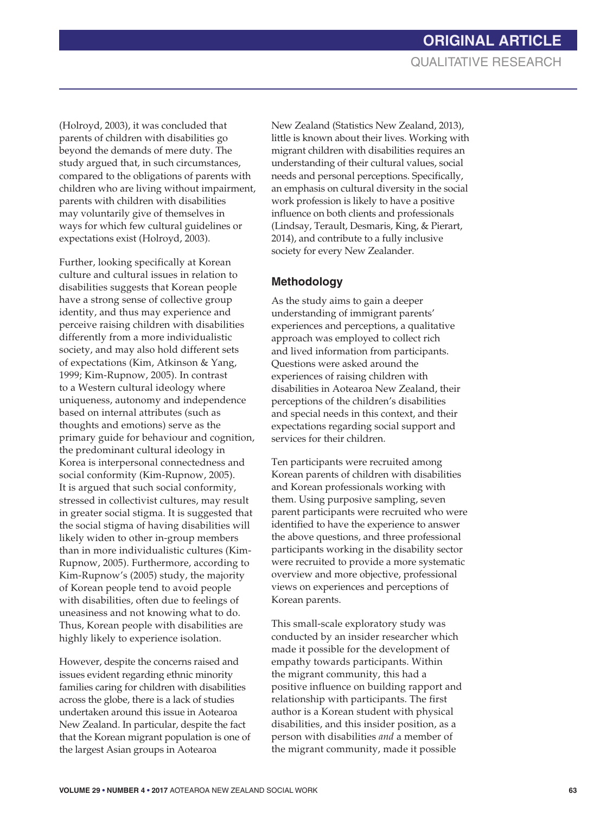(Holroyd, 2003), it was concluded that parents of children with disabilities go beyond the demands of mere duty. The study argued that, in such circumstances, compared to the obligations of parents with children who are living without impairment, parents with children with disabilities may voluntarily give of themselves in ways for which few cultural guidelines or expectations exist (Holroyd, 2003).

Further, looking specifically at Korean culture and cultural issues in relation to disabilities suggests that Korean people have a strong sense of collective group identity, and thus may experience and perceive raising children with disabilities differently from a more individualistic society, and may also hold different sets of expectations (Kim, Atkinson & Yang, 1999; Kim-Rupnow, 2005). In contrast to a Western cultural ideology where uniqueness, autonomy and independence based on internal attributes (such as thoughts and emotions) serve as the primary guide for behaviour and cognition, the predominant cultural ideology in Korea is interpersonal connectedness and social conformity (Kim-Rupnow, 2005). It is argued that such social conformity, stressed in collectivist cultures, may result in greater social stigma. It is suggested that the social stigma of having disabilities will likely widen to other in-group members than in more individualistic cultures (Kim-Rupnow, 2005). Furthermore, according to Kim-Rupnow's (2005) study, the majority of Korean people tend to avoid people with disabilities, often due to feelings of uneasiness and not knowing what to do. Thus, Korean people with disabilities are highly likely to experience isolation.

However, despite the concerns raised and issues evident regarding ethnic minority families caring for children with disabilities across the globe, there is a lack of studies undertaken around this issue in Aotearoa New Zealand. In particular, despite the fact that the Korean migrant population is one of the largest Asian groups in Aotearoa

New Zealand (Statistics New Zealand, 2013), little is known about their lives. Working with migrant children with disabilities requires an understanding of their cultural values, social needs and personal perceptions. Specifically, an emphasis on cultural diversity in the social work profession is likely to have a positive influence on both clients and professionals (Lindsay, Terault, Desmaris, King, & Pierart, 2014), and contribute to a fully inclusive society for every New Zealander.

### **Methodology**

As the study aims to gain a deeper understanding of immigrant parents' experiences and perceptions, a qualitative approach was employed to collect rich and lived information from participants. Questions were asked around the experiences of raising children with disabilities in Aotearoa New Zealand, their perceptions of the children's disabilities and special needs in this context, and their expectations regarding social support and services for their children.

Ten participants were recruited among Korean parents of children with disabilities and Korean professionals working with them. Using purposive sampling, seven parent participants were recruited who were identified to have the experience to answer the above questions, and three professional participants working in the disability sector were recruited to provide a more systematic overview and more objective, professional views on experiences and perceptions of Korean parents.

This small-scale exploratory study was conducted by an insider researcher which made it possible for the development of empathy towards participants. Within the migrant community, this had a positive influence on building rapport and relationship with participants. The first author is a Korean student with physical disabilities, and this insider position, as a person with disabilities *and* a member of the migrant community, made it possible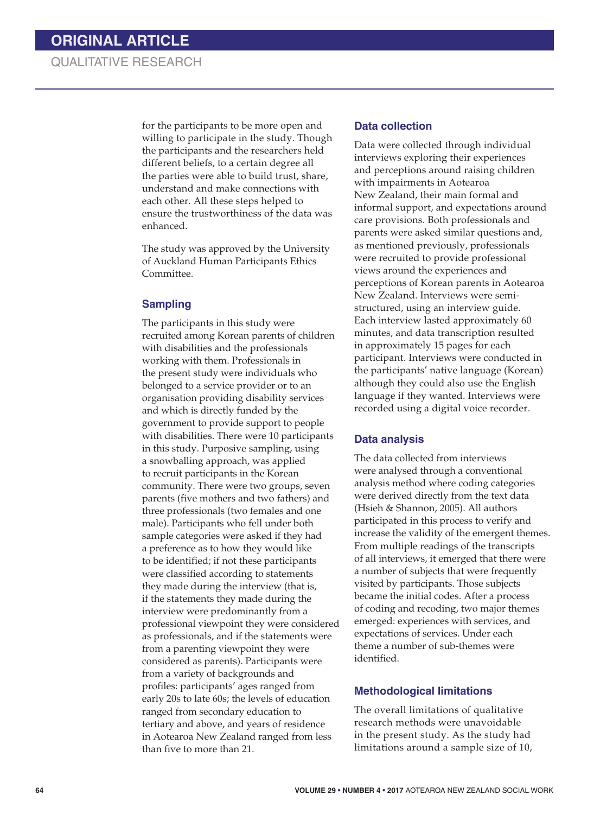for the participants to be more open and willing to participate in the study. Though the participants and the researchers held different beliefs, to a certain degree all the parties were able to build trust, share, understand and make connections with each other. All these steps helped to ensure the trustworthiness of the data was enhanced.

The study was approved by the University of Auckland Human Participants Ethics Committee.

### **Sampling**

The participants in this study were recruited among Korean parents of children with disabilities and the professionals working with them. Professionals in the present study were individuals who belonged to a service provider or to an organisation providing disability services and which is directly funded by the government to provide support to people with disabilities. There were 10 participants in this study. Purposive sampling, using a snowballing approach, was applied to recruit participants in the Korean community. There were two groups, seven parents (five mothers and two fathers) and three professionals (two females and one male). Participants who fell under both sample categories were asked if they had a preference as to how they would like to be identified; if not these participants were classified according to statements they made during the interview (that is, if the statements they made during the interview were predominantly from a professional viewpoint they were considered as professionals, and if the statements were from a parenting viewpoint they were considered as parents). Participants were from a variety of backgrounds and profiles: participants' ages ranged from early 20s to late 60s; the levels of education ranged from secondary education to tertiary and above, and years of residence in Aotearoa New Zealand ranged from less than five to more than 21.

#### **Data collection**

Data were collected through individual interviews exploring their experiences and perceptions around raising children with impairments in Aotearoa New Zealand, their main formal and informal support, and expectations around care provisions. Both professionals and parents were asked similar questions and, as mentioned previously, professionals were recruited to provide professional views around the experiences and perceptions of Korean parents in Aotearoa New Zealand. Interviews were semistructured, using an interview guide. Each interview lasted approximately 60 minutes, and data transcription resulted in approximately 15 pages for each participant. Interviews were conducted in the participants' native language (Korean) although they could also use the English language if they wanted. Interviews were recorded using a digital voice recorder.

#### **Data analysis**

The data collected from interviews were analysed through a conventional analysis method where coding categories were derived directly from the text data (Hsieh & Shannon, 2005). All authors participated in this process to verify and increase the validity of the emergent themes. From multiple readings of the transcripts of all interviews, it emerged that there were a number of subjects that were frequently visited by participants. Those subjects became the initial codes. After a process of coding and recoding, two major themes emerged: experiences with services, and expectations of services. Under each theme a number of sub-themes were identified.

### **Methodological limitations**

The overall limitations of qualitative research methods were unavoidable in the present study. As the study had limitations around a sample size of 10,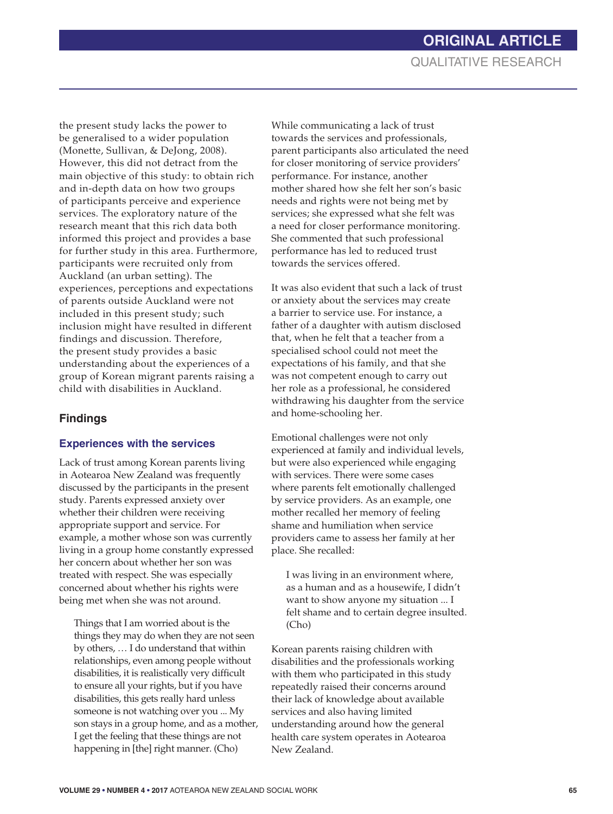the present study lacks the power to be generalised to a wider population (Monette, Sullivan, & DeJong, 2008). However, this did not detract from the main objective of this study: to obtain rich and in-depth data on how two groups of participants perceive and experience services. The exploratory nature of the research meant that this rich data both informed this project and provides a base for further study in this area. Furthermore, participants were recruited only from Auckland (an urban setting). The experiences, perceptions and expectations of parents outside Auckland were not included in this present study; such inclusion might have resulted in different findings and discussion. Therefore, the present study provides a basic understanding about the experiences of a group of Korean migrant parents raising a child with disabilities in Auckland.

## **Findings**

### **Experiences with the services**

Lack of trust among Korean parents living in Aotearoa New Zealand was frequently discussed by the participants in the present study. Parents expressed anxiety over whether their children were receiving appropriate support and service. For example, a mother whose son was currently living in a group home constantly expressed her concern about whether her son was treated with respect. She was especially concerned about whether his rights were being met when she was not around.

Things that I am worried about is the things they may do when they are not seen by others, … I do understand that within relationships, even among people without disabilities, it is realistically very difficult to ensure all your rights, but if you have disabilities, this gets really hard unless someone is not watching over you ... My son stays in a group home, and as a mother, I get the feeling that these things are not happening in [the] right manner. (Cho)

While communicating a lack of trust towards the services and professionals, parent participants also articulated the need for closer monitoring of service providers' performance. For instance, another mother shared how she felt her son's basic needs and rights were not being met by services; she expressed what she felt was a need for closer performance monitoring. She commented that such professional performance has led to reduced trust towards the services offered.

It was also evident that such a lack of trust or anxiety about the services may create a barrier to service use. For instance, a father of a daughter with autism disclosed that, when he felt that a teacher from a specialised school could not meet the expectations of his family, and that she was not competent enough to carry out her role as a professional, he considered withdrawing his daughter from the service and home-schooling her.

Emotional challenges were not only experienced at family and individual levels, but were also experienced while engaging with services. There were some cases where parents felt emotionally challenged by service providers. As an example, one mother recalled her memory of feeling shame and humiliation when service providers came to assess her family at her place. She recalled:

I was living in an environment where, as a human and as a housewife, I didn't want to show anyone my situation ... I felt shame and to certain degree insulted. (Cho)

Korean parents raising children with disabilities and the professionals working with them who participated in this study repeatedly raised their concerns around their lack of knowledge about available services and also having limited understanding around how the general health care system operates in Aotearoa New Zealand.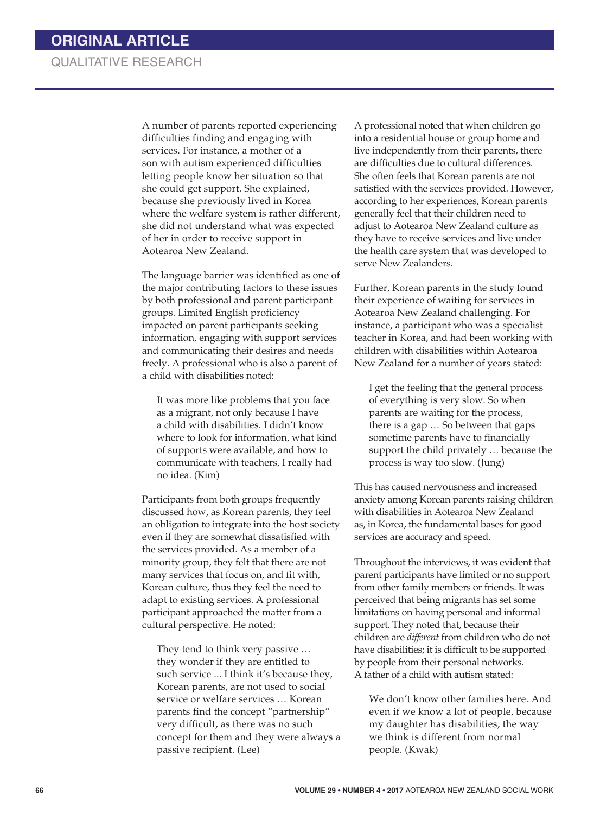A number of parents reported experiencing difficulties finding and engaging with services. For instance, a mother of a son with autism experienced difficulties letting people know her situation so that she could get support. She explained, because she previously lived in Korea where the welfare system is rather different, she did not understand what was expected of her in order to receive support in Aotearoa New Zealand.

The language barrier was identified as one of the major contributing factors to these issues by both professional and parent participant groups. Limited English proficiency impacted on parent participants seeking information, engaging with support services and communicating their desires and needs freely. A professional who is also a parent of a child with disabilities noted:

It was more like problems that you face as a migrant, not only because I have a child with disabilities. I didn't know where to look for information, what kind of supports were available, and how to communicate with teachers, I really had no idea. (Kim)

Participants from both groups frequently discussed how, as Korean parents, they feel an obligation to integrate into the host society even if they are somewhat dissatisfied with the services provided. As a member of a minority group, they felt that there are not many services that focus on, and fit with, Korean culture, thus they feel the need to adapt to existing services. A professional participant approached the matter from a cultural perspective. He noted:

They tend to think very passive … they wonder if they are entitled to such service ... I think it's because they, Korean parents, are not used to social service or welfare services … Korean parents find the concept "partnership" very difficult, as there was no such concept for them and they were always a passive recipient. (Lee)

A professional noted that when children go into a residential house or group home and live independently from their parents, there are difficulties due to cultural differences. She often feels that Korean parents are not satisfied with the services provided. However, according to her experiences, Korean parents generally feel that their children need to adjust to Aotearoa New Zealand culture as they have to receive services and live under the health care system that was developed to serve New Zealanders.

Further, Korean parents in the study found their experience of waiting for services in Aotearoa New Zealand challenging. For instance, a participant who was a specialist teacher in Korea, and had been working with children with disabilities within Aotearoa New Zealand for a number of years stated:

I get the feeling that the general process of everything is very slow. So when parents are waiting for the process, there is a gap … So between that gaps sometime parents have to financially support the child privately … because the process is way too slow. (Jung)

This has caused nervousness and increased anxiety among Korean parents raising children with disabilities in Aotearoa New Zealand as, in Korea, the fundamental bases for good services are accuracy and speed.

Throughout the interviews, it was evident that parent participants have limited or no support from other family members or friends. It was perceived that being migrants has set some limitations on having personal and informal support. They noted that, because their children are *different* from children who do not have disabilities; it is difficult to be supported by people from their personal networks. A father of a child with autism stated:

We don't know other families here. And even if we know a lot of people, because my daughter has disabilities, the way we think is different from normal people. (Kwak)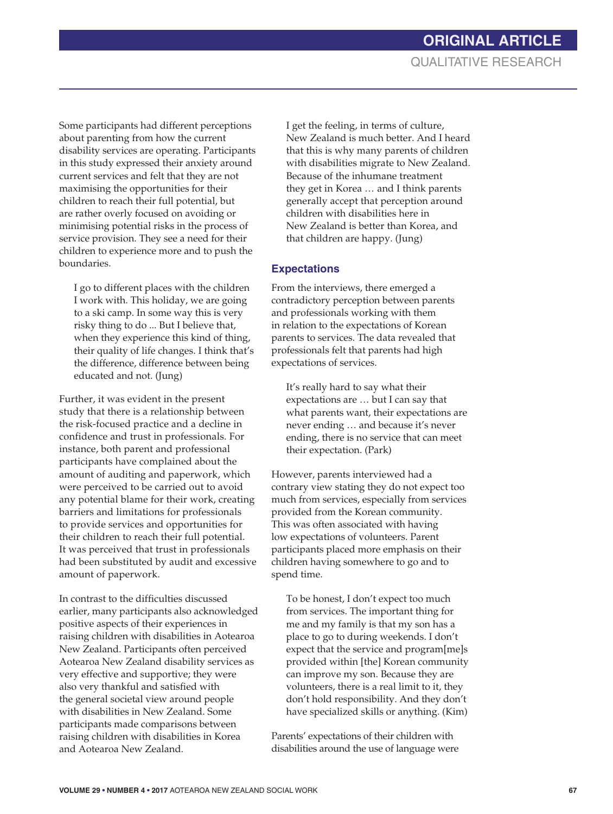Some participants had different perceptions about parenting from how the current disability services are operating. Participants in this study expressed their anxiety around current services and felt that they are not maximising the opportunities for their children to reach their full potential, but are rather overly focused on avoiding or minimising potential risks in the process of service provision. They see a need for their children to experience more and to push the boundaries.

I go to different places with the children I work with. This holiday, we are going to a ski camp. In some way this is very risky thing to do ... But I believe that, when they experience this kind of thing, their quality of life changes. I think that's the difference, difference between being educated and not. (Jung)

Further, it was evident in the present study that there is a relationship between the risk-focused practice and a decline in confidence and trust in professionals. For instance, both parent and professional participants have complained about the amount of auditing and paperwork, which were perceived to be carried out to avoid any potential blame for their work, creating barriers and limitations for professionals to provide services and opportunities for their children to reach their full potential. It was perceived that trust in professionals had been substituted by audit and excessive amount of paperwork.

In contrast to the difficulties discussed earlier, many participants also acknowledged positive aspects of their experiences in raising children with disabilities in Aotearoa New Zealand. Participants often perceived Aotearoa New Zealand disability services as very effective and supportive; they were also very thankful and satisfied with the general societal view around people with disabilities in New Zealand. Some participants made comparisons between raising children with disabilities in Korea and Aotearoa New Zealand.

I get the feeling, in terms of culture, New Zealand is much better. And I heard that this is why many parents of children with disabilities migrate to New Zealand. Because of the inhumane treatment they get in Korea … and I think parents generally accept that perception around children with disabilities here in New Zealand is better than Korea, and that children are happy. (Jung)

### **Expectations**

From the interviews, there emerged a contradictory perception between parents and professionals working with them in relation to the expectations of Korean parents to services. The data revealed that professionals felt that parents had high expectations of services.

It's really hard to say what their expectations are … but I can say that what parents want, their expectations are never ending … and because it's never ending, there is no service that can meet their expectation. (Park)

However, parents interviewed had a contrary view stating they do not expect too much from services, especially from services provided from the Korean community. This was often associated with having low expectations of volunteers. Parent participants placed more emphasis on their children having somewhere to go and to spend time.

To be honest, I don't expect too much from services. The important thing for me and my family is that my son has a place to go to during weekends. I don't expect that the service and program[me]s provided within [the] Korean community can improve my son. Because they are volunteers, there is a real limit to it, they don't hold responsibility. And they don't have specialized skills or anything. (Kim)

Parents' expectations of their children with disabilities around the use of language were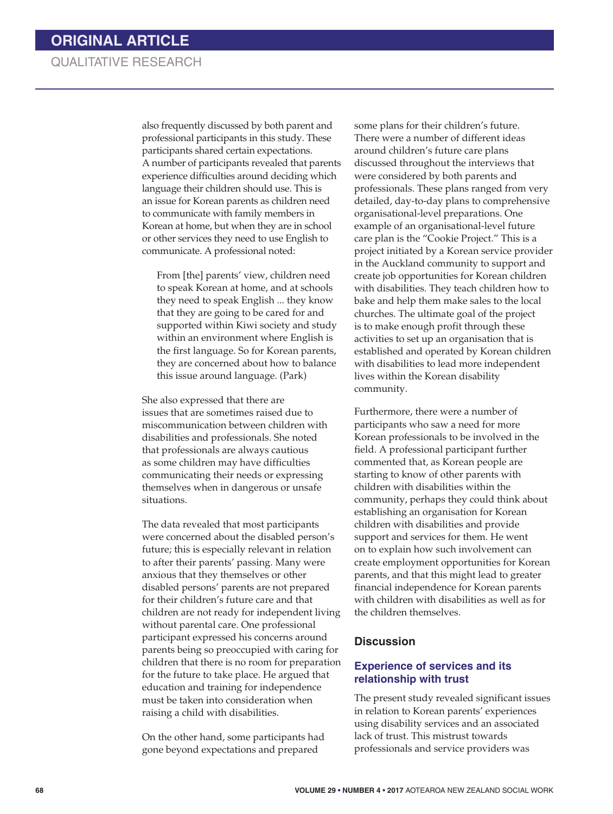also frequently discussed by both parent and professional participants in this study. These participants shared certain expectations. A number of participants revealed that parents experience difficulties around deciding which language their children should use. This is an issue for Korean parents as children need to communicate with family members in Korean at home, but when they are in school or other services they need to use English to communicate. A professional noted:

From [the] parents' view, children need to speak Korean at home, and at schools they need to speak English ... they know that they are going to be cared for and supported within Kiwi society and study within an environment where English is the first language. So for Korean parents, they are concerned about how to balance this issue around language. (Park)

She also expressed that there are issues that are sometimes raised due to miscommunication between children with disabilities and professionals. She noted that professionals are always cautious as some children may have difficulties communicating their needs or expressing themselves when in dangerous or unsafe situations.

The data revealed that most participants were concerned about the disabled person's future; this is especially relevant in relation to after their parents' passing. Many were anxious that they themselves or other disabled persons' parents are not prepared for their children's future care and that children are not ready for independent living without parental care. One professional participant expressed his concerns around parents being so preoccupied with caring for children that there is no room for preparation for the future to take place. He argued that education and training for independence must be taken into consideration when raising a child with disabilities.

On the other hand, some participants had gone beyond expectations and prepared

some plans for their children's future. There were a number of different ideas around children's future care plans discussed throughout the interviews that were considered by both parents and professionals. These plans ranged from very detailed, day-to-day plans to comprehensive organisational-level preparations. One example of an organisational-level future care plan is the "Cookie Project." This is a project initiated by a Korean service provider in the Auckland community to support and create job opportunities for Korean children with disabilities. They teach children how to bake and help them make sales to the local churches. The ultimate goal of the project is to make enough profit through these activities to set up an organisation that is established and operated by Korean children with disabilities to lead more independent lives within the Korean disability community.

Furthermore, there were a number of participants who saw a need for more Korean professionals to be involved in the field. A professional participant further commented that, as Korean people are starting to know of other parents with children with disabilities within the community, perhaps they could think about establishing an organisation for Korean children with disabilities and provide support and services for them. He went on to explain how such involvement can create employment opportunities for Korean parents, and that this might lead to greater financial independence for Korean parents with children with disabilities as well as for the children themselves.

### **Discussion**

### **Experience of services and its relationship with trust**

The present study revealed significant issues in relation to Korean parents' experiences using disability services and an associated lack of trust. This mistrust towards professionals and service providers was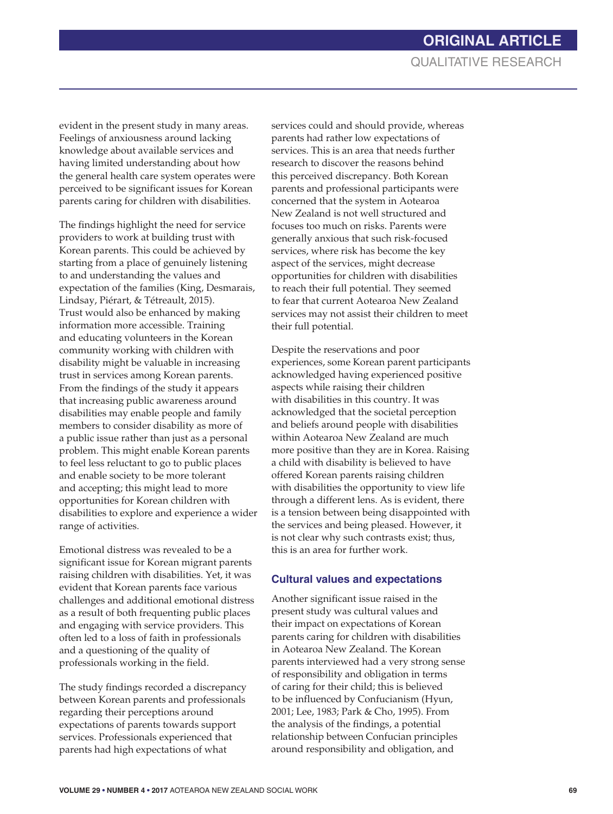evident in the present study in many areas. Feelings of anxiousness around lacking knowledge about available services and having limited understanding about how the general health care system operates were perceived to be significant issues for Korean parents caring for children with disabilities.

The findings highlight the need for service providers to work at building trust with Korean parents. This could be achieved by starting from a place of genuinely listening to and understanding the values and expectation of the families (King, Desmarais, Lindsay, Piérart, & Tétreault, 2015). Trust would also be enhanced by making information more accessible. Training and educating volunteers in the Korean community working with children with disability might be valuable in increasing trust in services among Korean parents. From the findings of the study it appears that increasing public awareness around disabilities may enable people and family members to consider disability as more of a public issue rather than just as a personal problem. This might enable Korean parents to feel less reluctant to go to public places and enable society to be more tolerant and accepting; this might lead to more opportunities for Korean children with disabilities to explore and experience a wider range of activities.

Emotional distress was revealed to be a significant issue for Korean migrant parents raising children with disabilities. Yet, it was evident that Korean parents face various challenges and additional emotional distress as a result of both frequenting public places and engaging with service providers. This often led to a loss of faith in professionals and a questioning of the quality of professionals working in the field.

The study findings recorded a discrepancy between Korean parents and professionals regarding their perceptions around expectations of parents towards support services. Professionals experienced that parents had high expectations of what

services could and should provide, whereas parents had rather low expectations of services. This is an area that needs further research to discover the reasons behind this perceived discrepancy. Both Korean parents and professional participants were concerned that the system in Aotearoa New Zealand is not well structured and focuses too much on risks. Parents were generally anxious that such risk-focused services, where risk has become the key aspect of the services, might decrease opportunities for children with disabilities to reach their full potential. They seemed to fear that current Aotearoa New Zealand services may not assist their children to meet their full potential.

Despite the reservations and poor experiences, some Korean parent participants acknowledged having experienced positive aspects while raising their children with disabilities in this country. It was acknowledged that the societal perception and beliefs around people with disabilities within Aotearoa New Zealand are much more positive than they are in Korea. Raising a child with disability is believed to have offered Korean parents raising children with disabilities the opportunity to view life through a different lens. As is evident, there is a tension between being disappointed with the services and being pleased. However, it is not clear why such contrasts exist; thus, this is an area for further work.

### **Cultural values and expectations**

Another significant issue raised in the present study was cultural values and their impact on expectations of Korean parents caring for children with disabilities in Aotearoa New Zealand. The Korean parents interviewed had a very strong sense of responsibility and obligation in terms of caring for their child; this is believed to be influenced by Confucianism (Hyun, 2001; Lee, 1983; Park & Cho, 1995). From the analysis of the findings, a potential relationship between Confucian principles around responsibility and obligation, and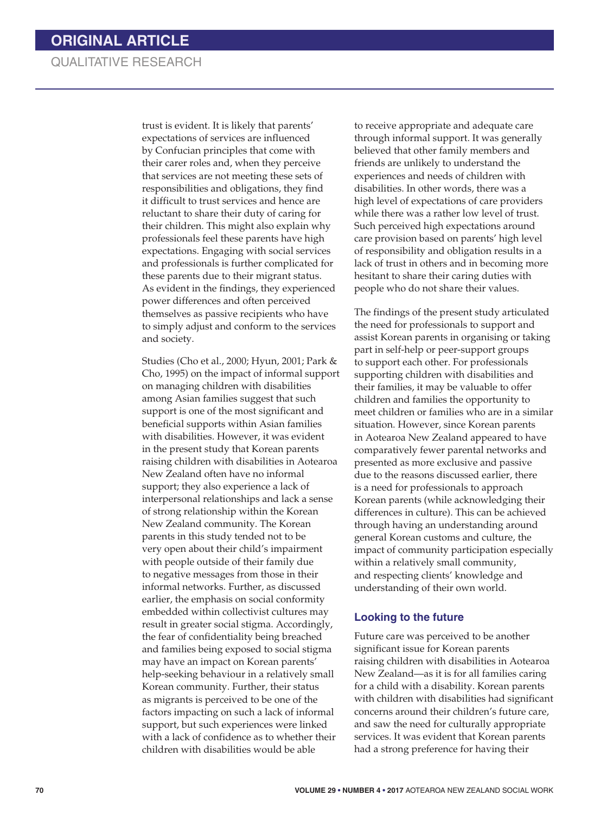trust is evident. It is likely that parents' expectations of services are influenced by Confucian principles that come with their carer roles and, when they perceive that services are not meeting these sets of responsibilities and obligations, they find it difficult to trust services and hence are reluctant to share their duty of caring for their children. This might also explain why professionals feel these parents have high expectations. Engaging with social services and professionals is further complicated for these parents due to their migrant status. As evident in the findings, they experienced power differences and often perceived themselves as passive recipients who have to simply adjust and conform to the services and society.

Studies (Cho et al., 2000; Hyun, 2001; Park & Cho, 1995) on the impact of informal support on managing children with disabilities among Asian families suggest that such support is one of the most significant and beneficial supports within Asian families with disabilities. However, it was evident in the present study that Korean parents raising children with disabilities in Aotearoa New Zealand often have no informal support; they also experience a lack of interpersonal relationships and lack a sense of strong relationship within the Korean New Zealand community. The Korean parents in this study tended not to be very open about their child's impairment with people outside of their family due to negative messages from those in their informal networks. Further, as discussed earlier, the emphasis on social conformity embedded within collectivist cultures may result in greater social stigma. Accordingly, the fear of confidentiality being breached and families being exposed to social stigma may have an impact on Korean parents' help-seeking behaviour in a relatively small Korean community. Further, their status as migrants is perceived to be one of the factors impacting on such a lack of informal support, but such experiences were linked with a lack of confidence as to whether their children with disabilities would be able

to receive appropriate and adequate care through informal support. It was generally believed that other family members and friends are unlikely to understand the experiences and needs of children with disabilities. In other words, there was a high level of expectations of care providers while there was a rather low level of trust. Such perceived high expectations around care provision based on parents' high level of responsibility and obligation results in a lack of trust in others and in becoming more hesitant to share their caring duties with people who do not share their values.

The findings of the present study articulated the need for professionals to support and assist Korean parents in organising or taking part in self-help or peer-support groups to support each other. For professionals supporting children with disabilities and their families, it may be valuable to offer children and families the opportunity to meet children or families who are in a similar situation. However, since Korean parents in Aotearoa New Zealand appeared to have comparatively fewer parental networks and presented as more exclusive and passive due to the reasons discussed earlier, there is a need for professionals to approach Korean parents (while acknowledging their differences in culture). This can be achieved through having an understanding around general Korean customs and culture, the impact of community participation especially within a relatively small community, and respecting clients' knowledge and understanding of their own world.

#### **Looking to the future**

Future care was perceived to be another significant issue for Korean parents raising children with disabilities in Aotearoa New Zealand—as it is for all families caring for a child with a disability. Korean parents with children with disabilities had significant concerns around their children's future care, and saw the need for culturally appropriate services. It was evident that Korean parents had a strong preference for having their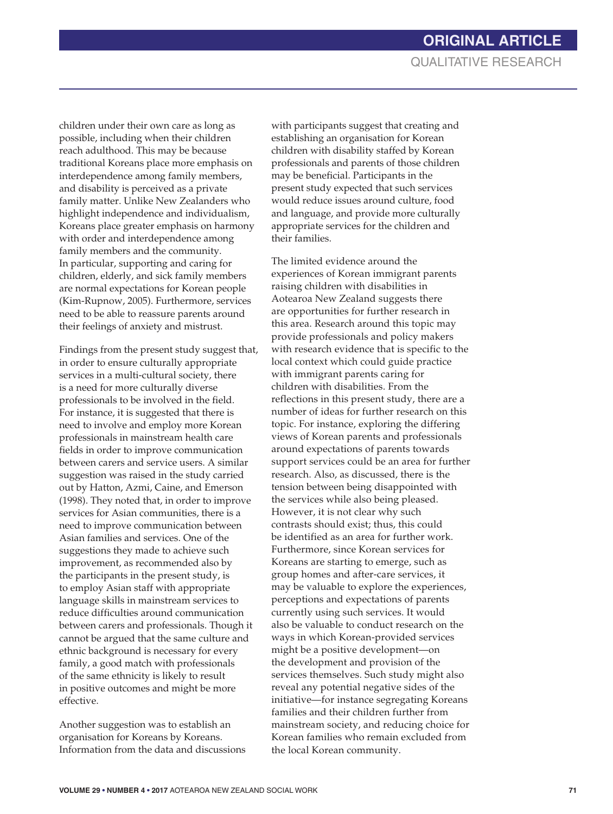children under their own care as long as possible, including when their children reach adulthood. This may be because traditional Koreans place more emphasis on interdependence among family members, and disability is perceived as a private family matter. Unlike New Zealanders who highlight independence and individualism, Koreans place greater emphasis on harmony with order and interdependence among family members and the community. In particular, supporting and caring for children, elderly, and sick family members are normal expectations for Korean people (Kim-Rupnow, 2005). Furthermore, services need to be able to reassure parents around their feelings of anxiety and mistrust.

Findings from the present study suggest that, in order to ensure culturally appropriate services in a multi-cultural society, there is a need for more culturally diverse professionals to be involved in the field. For instance, it is suggested that there is need to involve and employ more Korean professionals in mainstream health care fields in order to improve communication between carers and service users. A similar suggestion was raised in the study carried out by Hatton, Azmi, Caine, and Emerson (1998). They noted that, in order to improve services for Asian communities, there is a need to improve communication between Asian families and services. One of the suggestions they made to achieve such improvement, as recommended also by the participants in the present study, is to employ Asian staff with appropriate language skills in mainstream services to reduce difficulties around communication between carers and professionals. Though it cannot be argued that the same culture and ethnic background is necessary for every family, a good match with professionals of the same ethnicity is likely to result in positive outcomes and might be more effective.

Another suggestion was to establish an organisation for Koreans by Koreans. Information from the data and discussions

with participants suggest that creating and establishing an organisation for Korean children with disability staffed by Korean professionals and parents of those children may be beneficial. Participants in the present study expected that such services would reduce issues around culture, food and language, and provide more culturally appropriate services for the children and their families.

The limited evidence around the experiences of Korean immigrant parents raising children with disabilities in Aotearoa New Zealand suggests there are opportunities for further research in this area. Research around this topic may provide professionals and policy makers with research evidence that is specific to the local context which could guide practice with immigrant parents caring for children with disabilities. From the reflections in this present study, there are a number of ideas for further research on this topic. For instance, exploring the differing views of Korean parents and professionals around expectations of parents towards support services could be an area for further research. Also, as discussed, there is the tension between being disappointed with the services while also being pleased. However, it is not clear why such contrasts should exist; thus, this could be identified as an area for further work. Furthermore, since Korean services for Koreans are starting to emerge, such as group homes and after-care services, it may be valuable to explore the experiences, perceptions and expectations of parents currently using such services. It would also be valuable to conduct research on the ways in which Korean-provided services might be a positive development—on the development and provision of the services themselves. Such study might also reveal any potential negative sides of the initiative—for instance segregating Koreans families and their children further from mainstream society, and reducing choice for Korean families who remain excluded from the local Korean community.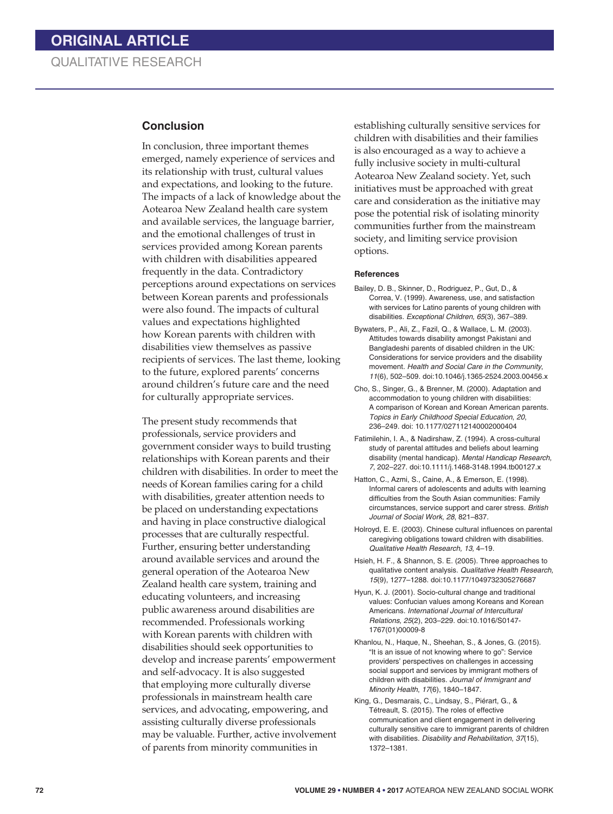#### **Conclusion**

In conclusion, three important themes emerged, namely experience of services and its relationship with trust, cultural values and expectations, and looking to the future. The impacts of a lack of knowledge about the Aotearoa New Zealand health care system and available services, the language barrier, and the emotional challenges of trust in services provided among Korean parents with children with disabilities appeared frequently in the data. Contradictory perceptions around expectations on services between Korean parents and professionals were also found. The impacts of cultural values and expectations highlighted how Korean parents with children with disabilities view themselves as passive recipients of services. The last theme, looking to the future, explored parents' concerns around children's future care and the need for culturally appropriate services.

The present study recommends that professionals, service providers and government consider ways to build trusting relationships with Korean parents and their children with disabilities. In order to meet the needs of Korean families caring for a child with disabilities, greater attention needs to be placed on understanding expectations and having in place constructive dialogical processes that are culturally respectful. Further, ensuring better understanding around available services and around the general operation of the Aotearoa New Zealand health care system, training and educating volunteers, and increasing public awareness around disabilities are recommended. Professionals working with Korean parents with children with disabilities should seek opportunities to develop and increase parents' empowerment and self-advocacy. It is also suggested that employing more culturally diverse professionals in mainstream health care services, and advocating, empowering, and assisting culturally diverse professionals may be valuable. Further, active involvement of parents from minority communities in

establishing culturally sensitive services for children with disabilities and their families is also encouraged as a way to achieve a fully inclusive society in multi-cultural Aotearoa New Zealand society. Yet, such initiatives must be approached with great care and consideration as the initiative may pose the potential risk of isolating minority communities further from the mainstream society, and limiting service provision options.

#### **References**

- Bailey, D. B., Skinner, D., Rodriguez, P., Gut, D., & Correa, V. (1999). Awareness, use, and satisfaction with services for Latino parents of young children with disabilities. *Exceptional Children, 65*(3), 367–389.
- Bywaters, P., Ali, Z., Fazil, Q., & Wallace, L. M. (2003). Attitudes towards disability amongst Pakistani and Bangladeshi parents of disabled children in the UK: Considerations for service providers and the disability movement*. Health and Social Care in the Community*, *11*(6), 502–509. doi:10.1046/j.1365-2524.2003.00456.x
- Cho, S., Singer, G., & Brenner, M. (2000). Adaptation and accommodation to young children with disabilities: A comparison of Korean and Korean American parents. *Topics in Early Childhood Special Education*, *20*, 236–249. doi: 10.1177/027112140002000404
- Fatimilehin, I. A., & Nadirshaw, Z. (1994). A cross-cultural study of parental attitudes and beliefs about learning disability (mental handicap). *Mental Handicap Research, 7*, 202–227. doi:10.1111/j.1468-3148.1994.tb00127.x
- Hatton, C., Azmi, S., Caine, A., & Emerson, E. (1998). Informal carers of adolescents and adults with learning difficulties from the South Asian communities: Family circumstances, service support and carer stress. *British Journal of Social Work*, *28*, 821–837.
- Holroyd, E. E. (2003). Chinese cultural influences on parental caregiving obligations toward children with disabilities. *Qualitative Health Research, 13,* 4–19.
- Hsieh, H. F., & Shannon, S. E. (2005). Three approaches to qualitative content analysis. *Qualitative Health Research, 15*(9), 1277–1288. doi:10.1177/1049732305276687
- Hyun, K. J. (2001). Socio-cultural change and traditional values: Confucian values among Koreans and Korean Americans. *International Journal of Intercultural Relations, 25*(2), 203–229. doi:10.1016/S0147- 1767(01)00009-8
- Khanlou, N., Haque, N., Sheehan, S., & Jones, G. (2015). "It is an issue of not knowing where to go": Service providers' perspectives on challenges in accessing social support and services by immigrant mothers of children with disabilities. *Journal of Immigrant and Minority Health*, *17*(6), 1840–1847.
- King, G., Desmarais, C., Lindsay, S., Piérart, G., & Tétreault, S. (2015). The roles of effective communication and client engagement in delivering culturally sensitive care to immigrant parents of children with disabilities. *Disability and Rehabilitation*, *37*(15), 1372–1381.